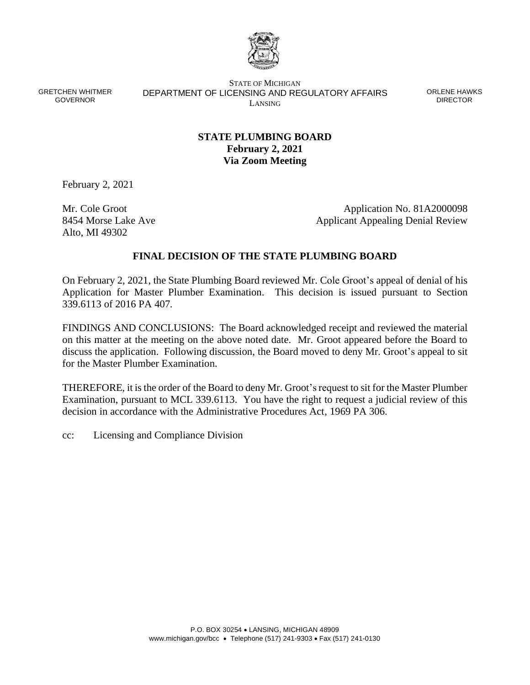

GRETCHEN WHITMER GOVERNOR

STATE OF MICHIGAN DEPARTMENT OF LICENSING AND REGULATORY AFFAIRS LANSING

ORLENE HAWKS DIRECTOR

# **STATE PLUMBING BOARD February 2, 2021 Via Zoom Meeting**

February 2, 2021

Mr. Cole Groot 8454 Morse Lake Ave Alto, MI 49302

Application No. 81A2000098 Applicant Appealing Denial Review

### **FINAL DECISION OF THE STATE PLUMBING BOARD**

On February 2, 2021, the State Plumbing Board reviewed Mr. Cole Groot's appeal of denial of his Application for Master Plumber Examination. This decision is issued pursuant to Section 339.6113 of 2016 PA 407.

FINDINGS AND CONCLUSIONS: The Board acknowledged receipt and reviewed the material on this matter at the meeting on the above noted date. Mr. Groot appeared before the Board to discuss the application. Following discussion, the Board moved to deny Mr. Groot's appeal to sit for the Master Plumber Examination.

THEREFORE, it is the order of the Board to deny Mr. Groot's request to sit for the Master Plumber Examination, pursuant to MCL 339.6113. You have the right to request a judicial review of this decision in accordance with the Administrative Procedures Act, 1969 PA 306.

cc: Licensing and Compliance Division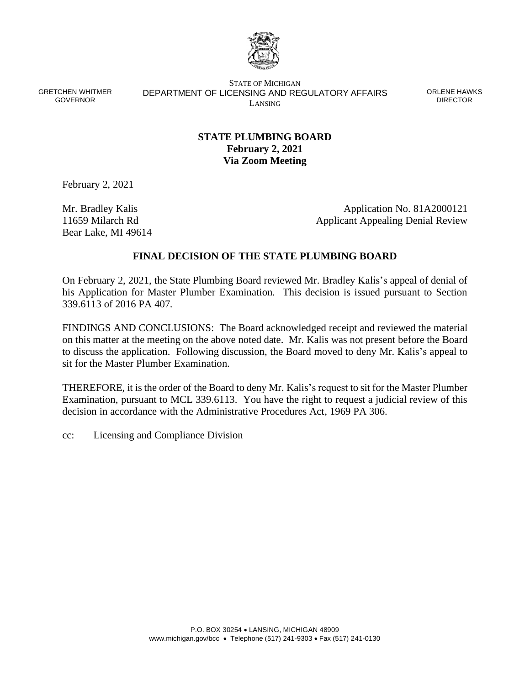

GRETCHEN WHITMER GOVERNOR

STATE OF MICHIGAN DEPARTMENT OF LICENSING AND REGULATORY AFFAIRS LANSING

ORLENE HAWKS DIRECTOR

# **STATE PLUMBING BOARD February 2, 2021 Via Zoom Meeting**

February 2, 2021

Mr. Bradley Kalis 11659 Milarch Rd Bear Lake, MI 49614

Application No. 81A2000121 Applicant Appealing Denial Review

### **FINAL DECISION OF THE STATE PLUMBING BOARD**

On February 2, 2021, the State Plumbing Board reviewed Mr. Bradley Kalis's appeal of denial of his Application for Master Plumber Examination. This decision is issued pursuant to Section 339.6113 of 2016 PA 407.

FINDINGS AND CONCLUSIONS: The Board acknowledged receipt and reviewed the material on this matter at the meeting on the above noted date. Mr. Kalis was not present before the Board to discuss the application. Following discussion, the Board moved to deny Mr. Kalis's appeal to sit for the Master Plumber Examination.

THEREFORE, it is the order of the Board to deny Mr. Kalis's request to sit for the Master Plumber Examination, pursuant to MCL 339.6113. You have the right to request a judicial review of this decision in accordance with the Administrative Procedures Act, 1969 PA 306.

cc: Licensing and Compliance Division